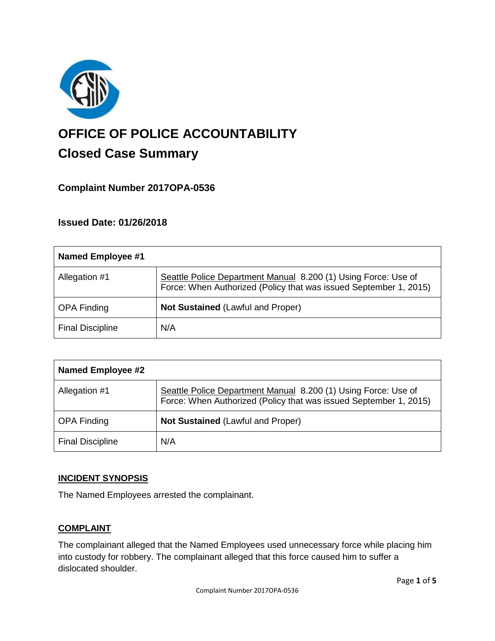

# **OFFICE OF POLICE ACCOUNTABILITY**

# **Closed Case Summary**

## **Complaint Number 2017OPA-0536**

### **Issued Date: 01/26/2018**

| Named Employee #1       |                                                                                                                                     |
|-------------------------|-------------------------------------------------------------------------------------------------------------------------------------|
| Allegation #1           | Seattle Police Department Manual 8.200 (1) Using Force: Use of<br>Force: When Authorized (Policy that was issued September 1, 2015) |
| <b>OPA Finding</b>      | <b>Not Sustained (Lawful and Proper)</b>                                                                                            |
| <b>Final Discipline</b> | N/A                                                                                                                                 |

| <b>Named Employee #2</b> |                                                                                                                                     |
|--------------------------|-------------------------------------------------------------------------------------------------------------------------------------|
| Allegation #1            | Seattle Police Department Manual 8.200 (1) Using Force: Use of<br>Force: When Authorized (Policy that was issued September 1, 2015) |
| <b>OPA Finding</b>       | <b>Not Sustained (Lawful and Proper)</b>                                                                                            |
| <b>Final Discipline</b>  | N/A                                                                                                                                 |

#### **INCIDENT SYNOPSIS**

The Named Employees arrested the complainant.

#### **COMPLAINT**

The complainant alleged that the Named Employees used unnecessary force while placing him into custody for robbery. The complainant alleged that this force caused him to suffer a dislocated shoulder.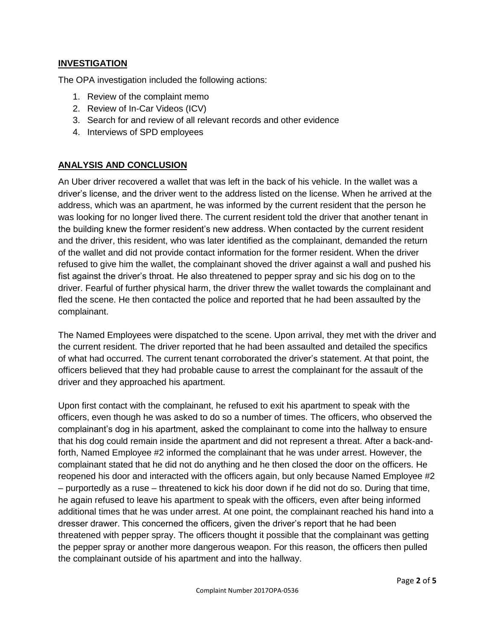#### **INVESTIGATION**

The OPA investigation included the following actions:

- 1. Review of the complaint memo
- 2. Review of In-Car Videos (ICV)
- 3. Search for and review of all relevant records and other evidence
- 4. Interviews of SPD employees

#### **ANALYSIS AND CONCLUSION**

An Uber driver recovered a wallet that was left in the back of his vehicle. In the wallet was a driver's license, and the driver went to the address listed on the license. When he arrived at the address, which was an apartment, he was informed by the current resident that the person he was looking for no longer lived there. The current resident told the driver that another tenant in the building knew the former resident's new address. When contacted by the current resident and the driver, this resident, who was later identified as the complainant, demanded the return of the wallet and did not provide contact information for the former resident. When the driver refused to give him the wallet, the complainant shoved the driver against a wall and pushed his fist against the driver's throat. He also threatened to pepper spray and sic his dog on to the driver. Fearful of further physical harm, the driver threw the wallet towards the complainant and fled the scene. He then contacted the police and reported that he had been assaulted by the complainant.

The Named Employees were dispatched to the scene. Upon arrival, they met with the driver and the current resident. The driver reported that he had been assaulted and detailed the specifics of what had occurred. The current tenant corroborated the driver's statement. At that point, the officers believed that they had probable cause to arrest the complainant for the assault of the driver and they approached his apartment.

Upon first contact with the complainant, he refused to exit his apartment to speak with the officers, even though he was asked to do so a number of times. The officers, who observed the complainant's dog in his apartment, asked the complainant to come into the hallway to ensure that his dog could remain inside the apartment and did not represent a threat. After a back-andforth, Named Employee #2 informed the complainant that he was under arrest. However, the complainant stated that he did not do anything and he then closed the door on the officers. He reopened his door and interacted with the officers again, but only because Named Employee #2 – purportedly as a ruse – threatened to kick his door down if he did not do so. During that time, he again refused to leave his apartment to speak with the officers, even after being informed additional times that he was under arrest. At one point, the complainant reached his hand into a dresser drawer. This concerned the officers, given the driver's report that he had been threatened with pepper spray. The officers thought it possible that the complainant was getting the pepper spray or another more dangerous weapon. For this reason, the officers then pulled the complainant outside of his apartment and into the hallway.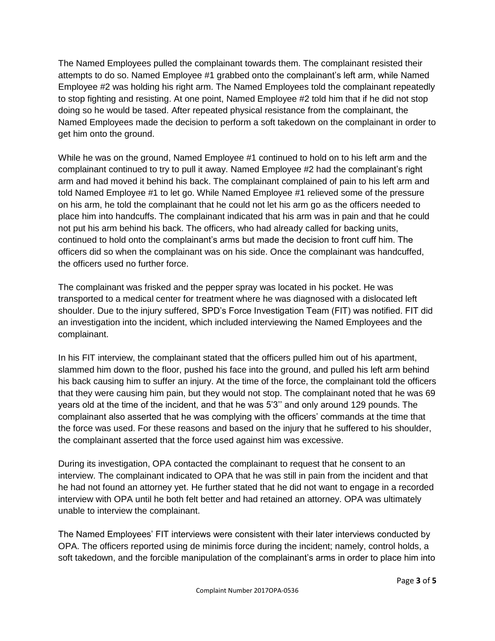The Named Employees pulled the complainant towards them. The complainant resisted their attempts to do so. Named Employee #1 grabbed onto the complainant's left arm, while Named Employee #2 was holding his right arm. The Named Employees told the complainant repeatedly to stop fighting and resisting. At one point, Named Employee #2 told him that if he did not stop doing so he would be tased. After repeated physical resistance from the complainant, the Named Employees made the decision to perform a soft takedown on the complainant in order to get him onto the ground.

While he was on the ground, Named Employee #1 continued to hold on to his left arm and the complainant continued to try to pull it away. Named Employee #2 had the complainant's right arm and had moved it behind his back. The complainant complained of pain to his left arm and told Named Employee #1 to let go. While Named Employee #1 relieved some of the pressure on his arm, he told the complainant that he could not let his arm go as the officers needed to place him into handcuffs. The complainant indicated that his arm was in pain and that he could not put his arm behind his back. The officers, who had already called for backing units, continued to hold onto the complainant's arms but made the decision to front cuff him. The officers did so when the complainant was on his side. Once the complainant was handcuffed, the officers used no further force.

The complainant was frisked and the pepper spray was located in his pocket. He was transported to a medical center for treatment where he was diagnosed with a dislocated left shoulder. Due to the injury suffered, SPD's Force Investigation Team (FIT) was notified. FIT did an investigation into the incident, which included interviewing the Named Employees and the complainant.

In his FIT interview, the complainant stated that the officers pulled him out of his apartment, slammed him down to the floor, pushed his face into the ground, and pulled his left arm behind his back causing him to suffer an injury. At the time of the force, the complainant told the officers that they were causing him pain, but they would not stop. The complainant noted that he was 69 years old at the time of the incident, and that he was 5'3'' and only around 129 pounds. The complainant also asserted that he was complying with the officers' commands at the time that the force was used. For these reasons and based on the injury that he suffered to his shoulder, the complainant asserted that the force used against him was excessive.

During its investigation, OPA contacted the complainant to request that he consent to an interview. The complainant indicated to OPA that he was still in pain from the incident and that he had not found an attorney yet. He further stated that he did not want to engage in a recorded interview with OPA until he both felt better and had retained an attorney. OPA was ultimately unable to interview the complainant.

The Named Employees' FIT interviews were consistent with their later interviews conducted by OPA. The officers reported using de minimis force during the incident; namely, control holds, a soft takedown, and the forcible manipulation of the complainant's arms in order to place him into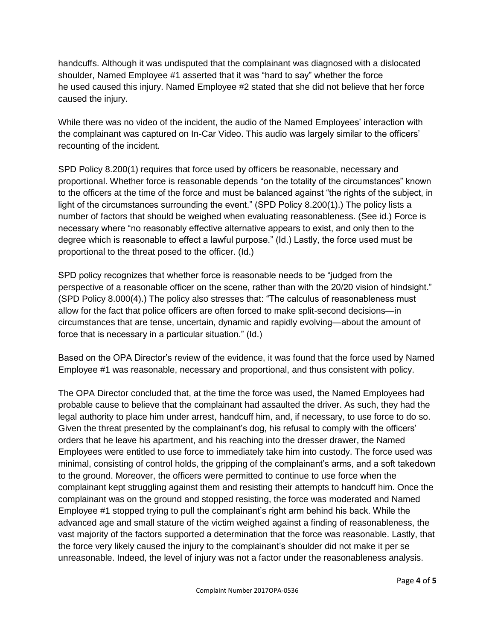handcuffs. Although it was undisputed that the complainant was diagnosed with a dislocated shoulder, Named Employee #1 asserted that it was "hard to say" whether the force he used caused this injury. Named Employee #2 stated that she did not believe that her force caused the injury.

While there was no video of the incident, the audio of the Named Employees' interaction with the complainant was captured on In-Car Video. This audio was largely similar to the officers' recounting of the incident.

SPD Policy 8.200(1) requires that force used by officers be reasonable, necessary and proportional. Whether force is reasonable depends "on the totality of the circumstances" known to the officers at the time of the force and must be balanced against "the rights of the subject, in light of the circumstances surrounding the event." (SPD Policy 8.200(1).) The policy lists a number of factors that should be weighed when evaluating reasonableness. (See id.) Force is necessary where "no reasonably effective alternative appears to exist, and only then to the degree which is reasonable to effect a lawful purpose." (Id.) Lastly, the force used must be proportional to the threat posed to the officer. (Id.)

SPD policy recognizes that whether force is reasonable needs to be "judged from the perspective of a reasonable officer on the scene, rather than with the 20/20 vision of hindsight." (SPD Policy 8.000(4).) The policy also stresses that: "The calculus of reasonableness must allow for the fact that police officers are often forced to make split-second decisions—in circumstances that are tense, uncertain, dynamic and rapidly evolving—about the amount of force that is necessary in a particular situation." (Id.)

Based on the OPA Director's review of the evidence, it was found that the force used by Named Employee #1 was reasonable, necessary and proportional, and thus consistent with policy.

The OPA Director concluded that, at the time the force was used, the Named Employees had probable cause to believe that the complainant had assaulted the driver. As such, they had the legal authority to place him under arrest, handcuff him, and, if necessary, to use force to do so. Given the threat presented by the complainant's dog, his refusal to comply with the officers' orders that he leave his apartment, and his reaching into the dresser drawer, the Named Employees were entitled to use force to immediately take him into custody. The force used was minimal, consisting of control holds, the gripping of the complainant's arms, and a soft takedown to the ground. Moreover, the officers were permitted to continue to use force when the complainant kept struggling against them and resisting their attempts to handcuff him. Once the complainant was on the ground and stopped resisting, the force was moderated and Named Employee #1 stopped trying to pull the complainant's right arm behind his back. While the advanced age and small stature of the victim weighed against a finding of reasonableness, the vast majority of the factors supported a determination that the force was reasonable. Lastly, that the force very likely caused the injury to the complainant's shoulder did not make it per se unreasonable. Indeed, the level of injury was not a factor under the reasonableness analysis.